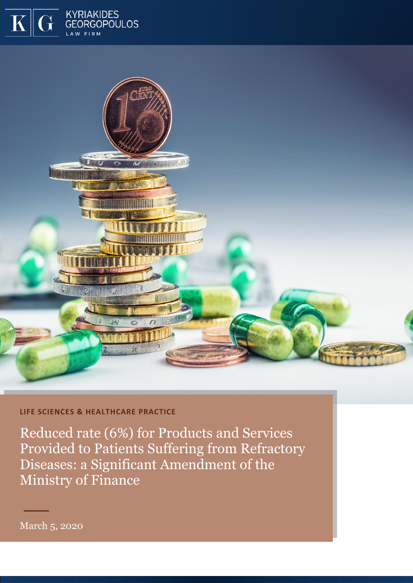

## **LIFE SCIENCES & HEALTHCARE PRACTICE**

KYRIAKIDES

Reduced rate (6%) for Products and Services Provided to Patients Suffering from Refractory Diseases: a Significant Amendment of the Ministry of Finance

March 5, 2020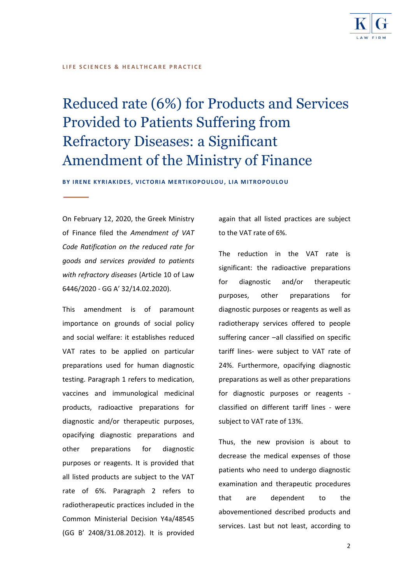

## **LIFE SCIENCES & HEALTHCARE PRACTICE**

# Reduced rate (6%) for Products and Services Provided to Patients Suffering from Refractory Diseases: a Significant Amendment of the Ministry of Finance

BY IRENE KYRIAKIDES, VICTORIA MERTIKOPOULOU, LIA MITROPOULOU

On February 12, 2020, the Greek Ministry of Finance filed the *Amendment of VAT Code Ratification on the reduced rate for goods and services provided to patients with refractory diseases* (Article 10 of Law 6446/2020 - GG Α' 32/14.02.2020).

This amendment is of paramount importance on grounds of social policy and social welfare: it establishes reduced VAT rates to be applied on particular preparations used for human diagnostic testing. Paragraph 1 refers to medication, vaccines and immunological medicinal products, radioactive preparations for diagnostic and/or therapeutic purposes, opacifying diagnostic preparations and other preparations for diagnostic purposes or reagents. It is provided that all listed products are subject to the VAT rate of 6%. Paragraph 2 refers to radiotherapeutic practices included in the Common Ministerial Decision Y4a/48545 (GG B' 2408/31.08.2012). It is provided

again that all listed practices are subject to the VAT rate of 6%.

The reduction in the VAT rate is significant: the radioactive preparations for diagnostic and/or therapeutic purposes, other preparations for diagnostic purposes or reagents as well as radiotherapy services offered to people suffering cancer –all classified on specific tariff lines- were subject to VAT rate of 24%. Furthermore, opacifying diagnostic preparations as well as other preparations for diagnostic purposes or reagents classified on different tariff lines - were subject to VAT rate of 13%.

Thus, the new provision is about to decrease the medical expenses of those patients who need to undergo diagnostic examination and therapeutic procedures that are dependent to the abovementioned described products and services. Last but not least, according to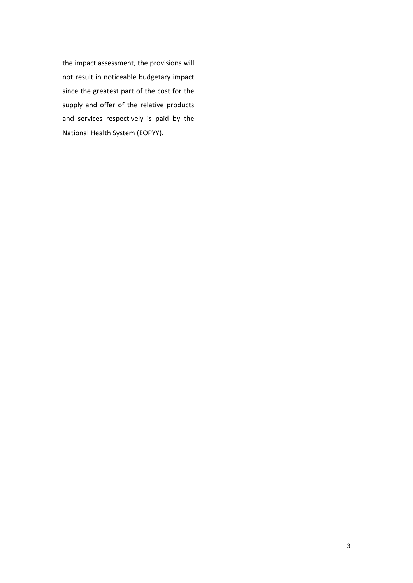the impact assessment, the provisions will not result in noticeable budgetary impact since the greatest part of the cost for the supply and offer of the relative products and services respectively is paid by the National Health System (EOPYY).